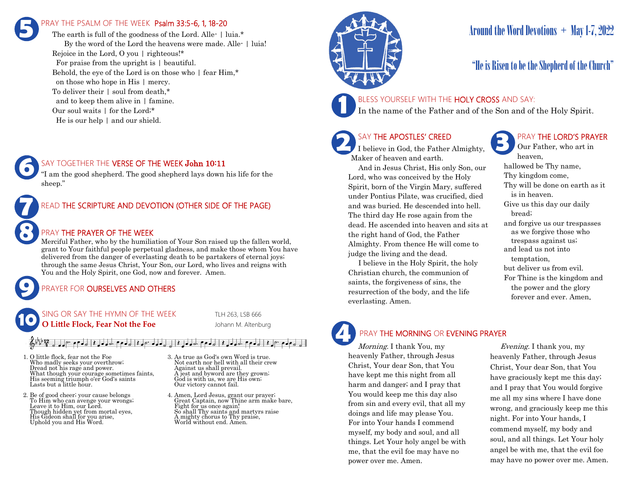## PRAY THE PSALM OF THE WEEK Psalm 33:5-6, 1, 18-20 **5**

The earth is full of the goodness of the Lord. Alle- | luia.\* By the word of the Lord the heavens were made. Alle- | luia! Rejoice in the Lord, O you | righteous!\* For praise from the upright is | beautiful. Behold, the eye of the Lord is on those who | fear Him,\* on those who hope in His | mercy. To deliver their | soul from death,\* and to keep them alive in | famine. Our soul waits | for the Lord;\* He is our help | and our shield.

### SAY TOGETHER THE VERSE OF THE WEEK John 10:11

"I am the good shepherd. The good shepherd lays down his life for the sheep."

### READ THE SCRIPTURE AND DEVOTION (OTHER SIDE OF THE PAGE)

### PRAY THE PRAYER OF THE WEEK

Merciful Father, who by the humiliation of Your Son raised up the fallen world, grant to Your faithful people perpetual gladness, and make those whom You have delivered from the danger of everlasting death to be partakers of eternal joys; through the same Jesus Christ, Your Son, our Lord, who lives and reigns with You and the Holy Spirit, one God, now and forever. Amen.

### PRAYER FOR **OURSELVES AND OTHERS**

#### NG OR SAY THE HYMN OF THE WEEK TLH 263, LSB 666 **O Little Flock, Fear Not the Foe** Johann M. Altenburg **10**

#### $\left\{ \left| \left| \left| \left| \left| \left| \left| \left| \left| \left| \left| \left| \right| \right| \right| \right| \right| \right| \right| \right| \right| \right\}$

- 1. O little flock, fear not the Foe Who madly seeks your overthrow; Dread not his rage and power. What though your courage sometimes faints, His seeming triumph o'er God's saints Lasts but a little hour.
- 2. Be of good cheer; your cause belongs To Him who can avenge your wrongs; Leave it to Him, our Lord. Though hidden yet from mortal eyes, His Gideon shall for you arise, Uphold you and His Word.

**9**

**8**

**7**

**6**

- 3. As true as God's own Word is true. Not earth nor hell with all their crew Against us shall prevail. A jest and byword are they grown; God is with us, we are His own; Our victory cannot fail.
- 4. Amen, Lord Jesus, grant our prayer; Great Captain, now Thine arm make bare, Fight for us once again! So shall Thy saints and martyrs raise A mighty chorus to Thy praise, World without end. Amen.



# Around the Word Devotions  $+$  May 1-7, 2022

### "He is Risen to be the Shepherd of the Church"

### BLESS YOURSELF WITH THE HOLY CROSS AND SAY:

In the name of the Father and of the Son and of the Holy Spirit.

### SAY THE APOSTLES' CREED

I believe in God, the Father Almighty, Maker of heaven and earth.

 And in Jesus Christ, His only Son, our Lord, who was conceived by the Holy Spirit, born of the Virgin Mary, suffered under Pontius Pilate, was crucified, died and was buried. He descended into hell. The third day He rose again from the dead. He ascended into heaven and sits at the right hand of God, the Father Almighty. From thence He will come to judge the living and the dead.

 I believe in the Holy Spirit, the holy Christian church, the communion of saints, the forgiveness of sins, the resurrection of the body, and the life everlasting. Amen.

### PRAY THE LORD'S PRAYER

Our Father, who art in heaven, hallowed be Thy name, Thy kingdom come, Thy will be done on earth as it is in heaven. Give us this day our daily bread; and forgive us our trespasses as we forgive those who trespass against us; and lead us not into temptation, but deliver us from evil. For Thine is the kingdom and the power and the glory forever and ever. Amen.

# PRAY THE MORNING OR EVENING PRAYER

Morning. I thank You, my heavenly Father, through Jesus Christ, Your dear Son, that You have kept me this night from all harm and danger; and I pray that You would keep me this day also from sin and every evil, that all my doings and life may please You. For into Your hands I commend myself, my body and soul, and all things. Let Your holy angel be with me, that the evil foe may have no power over me. Amen. **4**

 Evening. I thank you, my heavenly Father, through Jesus Christ, Your dear Son, that You have graciously kept me this day; and I pray that You would forgive me all my sins where I have done wrong, and graciously keep me this night. For into Your hands, I commend myself, my body and soul, and all things. Let Your holy angel be with me, that the evil foe may have no power over me. Amen.